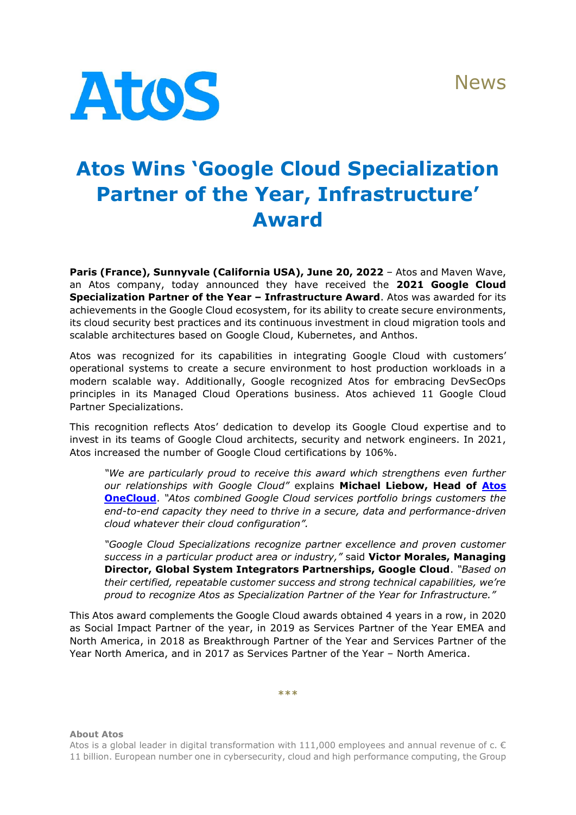News



## **Atos Wins 'Google Cloud Specialization Partner of the Year, Infrastructure' Award**

**Paris (France), Sunnyvale (California USA), June 20, 2022** – Atos and Maven Wave, an Atos company, today announced they have received the **2021 Google Cloud Specialization Partner of the Year – Infrastructure Award**. Atos was awarded for its achievements in the Google Cloud ecosystem, for its ability to create secure environments, its cloud security best practices and its continuous investment in cloud migration tools and scalable architectures based on Google Cloud, Kubernetes, and Anthos.

Atos was recognized for its capabilities in integrating Google Cloud with customers' operational systems to create a secure environment to host production workloads in a modern scalable way. Additionally, Google recognized Atos for embracing DevSecOps principles in its Managed Cloud Operations business. Atos achieved 11 Google Cloud Partner Specializations.

This recognition reflects Atos' dedication to develop its Google Cloud expertise and to invest in its teams of Google Cloud architects, security and network engineers. In 2021, Atos increased the number of Google Cloud certifications by 106%.

*"We are particularly proud to receive this award which strengthens even further our relationships with Google Cloud"* explains **Michael Liebow, Head of [Atos](https://atos.net/en/solutions/cloud-solutions/onecloud)  [OneCloud](https://atos.net/en/solutions/cloud-solutions/onecloud)**. *"Atos combined Google Cloud services portfolio brings customers the end-to-end capacity they need to thrive in a secure, data and performance-driven cloud whatever their cloud configuration".*

*"Google Cloud Specializations recognize partner excellence and proven customer success in a particular product area or industry,"* said **Victor Morales, Managing Director, Global System Integrators Partnerships, Google Cloud**. *"Based on their certified, repeatable customer success and strong technical capabilities, we're proud to recognize Atos as Specialization Partner of the Year for Infrastructure."*

This Atos award complements the Google Cloud awards obtained 4 years in a row, in 2020 as Social Impact Partner of the year, in 2019 as Services Partner of the Year EMEA and North America, in 2018 as Breakthrough Partner of the Year and Services Partner of the Year North America, and in 2017 as Services Partner of the Year – North America.

**\*\*\***